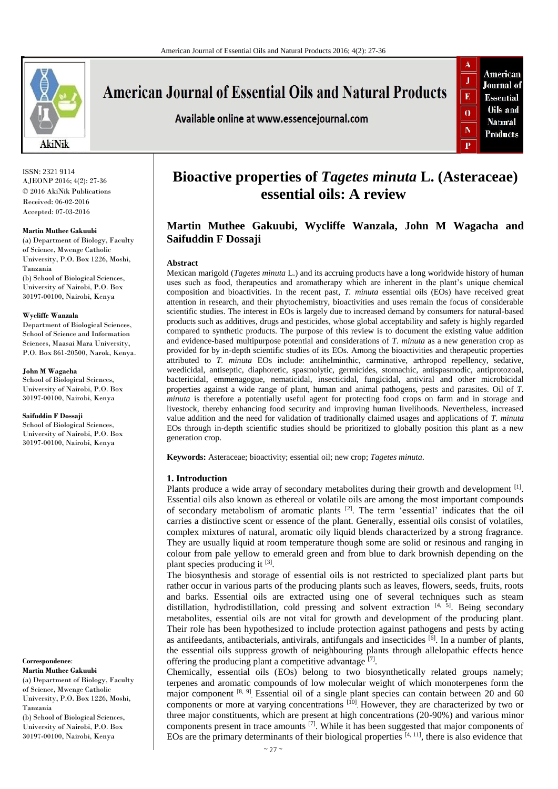

# **American Journal of Essential Oils and Natural Products**

Available online at www.essencejournal.com



ISSN: 2321 9114 AJEONP 2016; 4(2): 27-36 © 2016 AkiNik Publications Received: 06-02-2016 Accepted: 07-03-2016

#### **Martin Muthee Gakuubi**

(a) Department of Biology, Faculty of Science, Mwenge Catholic University, P.O. Box 1226, Moshi, Tanzania (b) School of Biological Sciences, University of Nairobi, P.O. Box

30197-00100, Nairobi, Kenya

#### **Wycliffe Wanzala**

Department of Biological Sciences, School of Science and Information Sciences, Maasai Mara University, P.O. Box 861-20500, Narok, Kenya.

**John M Wagacha**

School of Biological Sciences. University of Nairobi, P.O. Box 30197-00100, Nairobi, Kenya

**Saifuddin F Dossaji**

School of Biological Sciences, University of Nairobi, P.O. Box 30197-00100, Nairobi, Kenya

**Correspondence**:

**Martin Muthee Gakuubi** (a) Department of Biology, Faculty of Science, Mwenge Catholic University, P.O. Box 1226, Moshi, Tanzania (b) School of Biological Sciences,

University of Nairobi, P.O. Box 30197-00100, Nairobi, Kenya

# **Bioactive properties of** *Tagetes minuta* **L. (Asteraceae) essential oils: A review**

# **Martin Muthee Gakuubi, Wycliffe Wanzala, John M Wagacha and Saifuddin F Dossaji**

#### **Abstract**

Mexican marigold (*Tagetes minuta* L.) and its accruing products have a long worldwide history of human uses such as food, therapeutics and aromatherapy which are inherent in the plant's unique chemical composition and bioactivities. In the recent past, *T. minuta* essential oils (EOs) have received great attention in research, and their phytochemistry, bioactivities and uses remain the focus of considerable scientific studies. The interest in EOs is largely due to increased demand by consumers for natural-based products such as additives, drugs and pesticides, whose global acceptability and safety is highly regarded compared to synthetic products. The purpose of this review is to document the existing value addition and evidence-based multipurpose potential and considerations of *T. minuta* as a new generation crop as provided for by in-depth scientific studies of its EOs. Among the bioactivities and therapeutic properties attributed to *T. minuta* EOs include: antihelminthic, carminative, arthropod repellency, sedative, weedicidal, antiseptic, diaphoretic, spasmolytic, germicides, stomachic, antispasmodic, antiprotozoal, bactericidal, emmenagogue, nematicidal, insecticidal, fungicidal, antiviral and other microbicidal properties against a wide range of plant, human and animal pathogens, pests and parasites. Oil of *T. minuta* is therefore a potentially useful agent for protecting food crops on farm and in storage and livestock, thereby enhancing food security and improving human livelihoods. Nevertheless, increased value addition and the need for validation of traditionally claimed usages and applications of *T. minuta* EOs through in-depth scientific studies should be prioritized to globally position this plant as a new generation crop.

**Keywords:** Asteraceae; bioactivity; essential oil; new crop; *Tagetes minuta*.

#### **1. Introduction**

Plants produce a wide array of secondary metabolites during their growth and development  $^{[1]}$ . Essential oils also known as ethereal or volatile oils are among the most important compounds of secondary metabolism of aromatic plants [2]. The term 'essential' indicates that the oil carries a distinctive scent or essence of the plant. Generally, essential oils consist of volatiles, complex mixtures of natural, aromatic oily liquid blends characterized by a strong fragrance. They are usually liquid at room temperature though some are solid or resinous and ranging in colour from pale yellow to emerald green and from blue to dark brownish depending on the plant species producing it [3].

The biosynthesis and storage of essential oils is not restricted to specialized plant parts but rather occur in various parts of the producing plants such as leaves, flowers, seeds, fruits, roots and barks. Essential oils are extracted using one of several techniques such as steam distillation, hydrodistillation, cold pressing and solvent extraction  $[4, 5]$ . Being secondary metabolites, essential oils are not vital for growth and development of the producing plant. Their role has been hypothesized to include protection against pathogens and pests by acting as antifeedants, antibacterials, antivirals, antifungals and insecticides [6]. In a number of plants, the essential oils suppress growth of neighbouring plants through allelopathic effects hence offering the producing plant a competitive advantage [7].

Chemically, essential oils (EOs) belong to two biosynthetically related groups namely; terpenes and aromatic compounds of low molecular weight of which monoterpenes form the major component [8, 9]. Essential oil of a single plant species can contain between 20 and 60 components or more at varying concentrations [10] However, they are characterized by two or three major constituents, which are present at high concentrations (20-90%) and various minor components present in trace amounts [7]. While it has been suggested that major components of EOs are the primary determinants of their biological properties  $[4, 11]$ , there is also evidence that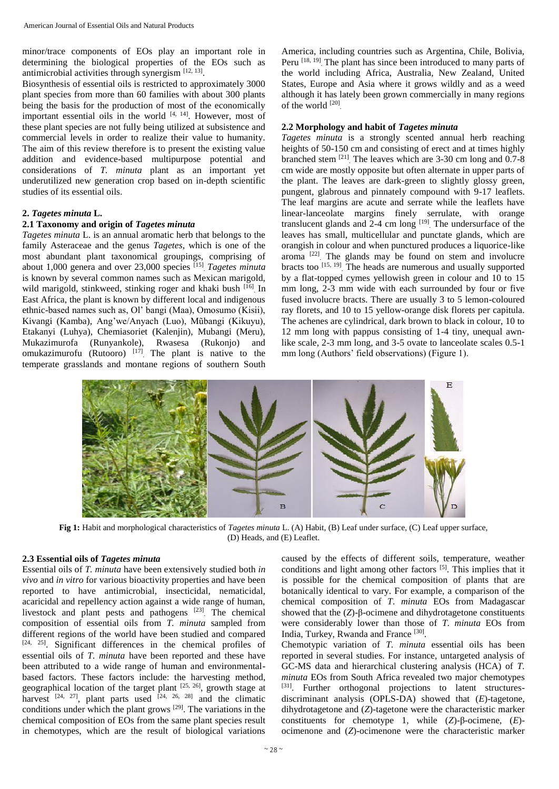minor/trace components of EOs play an important role in determining the biological properties of the EOs such as antimicrobial activities through synergism [12, 13].

Biosynthesis of essential oils is restricted to approximately 3000 plant species from more than 60 families with about 300 plants being the basis for the production of most of the economically important essential oils in the world  $[4, 14]$ . However, most of these plant species are not fully being utilized at subsistence and commercial levels in order to realize their value to humanity. The aim of this review therefore is to present the existing value addition and evidence-based multipurpose potential and considerations of *T. minuta* plant as an important yet underutilized new generation crop based on in-depth scientific studies of its essential oils.

#### **2.** *Tagetes minuta* **L.**

### **2.1 Taxonomy and origin of** *Tagetes minuta*

*Tagetes minuta* L. is an annual aromatic herb that belongs to the family Asteraceae and the genus *Tagetes*, which is one of the most abundant plant taxonomical groupings, comprising of about 1,000 genera and over 23,000 species [15] . *Tagetes minuta* is known by several common names such as Mexican marigold, wild marigold, stinkweed, stinking roger and khaki bush [16] In East Africa, the plant is known by different local and indigenous ethnic-based names such as, Ol' bangi (Maa), Omosumo (Kisii), Kivangi (Kamba), Ang'we/Anyach (Luo), Mũbangi (Kikuyu), Etakanyi (Luhya), Chemiasoriet (Kalenjin), Mubangi (Meru), Mukazimurofa (Runyankole), Rwasesa (Rukonjo) and omukazimurofu (Rutooro)  $[17]$  The plant is native to the temperate grasslands and montane regions of southern South

America, including countries such as Argentina, Chile, Bolivia, Peru<sup>[18, 19]</sup> The plant has since been introduced to many parts of the world including Africa, Australia, New Zealand, United States, Europe and Asia where it grows wildly and as a weed although it has lately been grown commercially in many regions of the world [20] .

#### **2.2 Morphology and habit of** *Tagetes minuta*

*Tagetes minuta* is a strongly scented annual herb reaching heights of 50-150 cm and consisting of erect and at times highly branched stem [21] . The leaves which are 3-30 cm long and 0.7-8 cm wide are mostly opposite but often alternate in upper parts of the plant. The leaves are dark-green to slightly glossy green, pungent, glabrous and pinnately compound with 9-17 leaflets. The leaf margins are acute and serrate while the leaflets have linear-lanceolate margins finely serrulate, with orange translucent glands and  $2-4$  cm long  $[19]$ . The undersurface of the leaves has small, multicellular and punctate glands, which are orangish in colour and when punctured produces a liquorice-like aroma<sup>[22]</sup>. The glands may be found on stem and involucre bracts too<sup>[15, 19]</sup>. The heads are numerous and usually supported by a flat-topped cymes yellowish green in colour and 10 to 15 mm long, 2-3 mm wide with each surrounded by four or five fused involucre bracts. There are usually 3 to 5 lemon-coloured ray florets, and 10 to 15 yellow-orange disk florets per capitula. The achenes are cylindrical, dark brown to black in colour, 10 to 12 mm long with pappus consisting of 1-4 tiny, unequal awnlike scale, 2-3 mm long, and 3-5 ovate to lanceolate scales 0.5-1 mm long (Authors' field observations) (Figure 1).



**Fig 1:** Habit and morphological characteristics of *Tagetes minuta* L. (A) Habit, (B) Leaf under surface, (C) Leaf upper surface, (D) Heads, and (E) Leaflet.

# **2.3 Essential oils of** *Tagetes minuta*

Essential oils of *T. minuta* have been extensively studied both *in vivo* and *in vitro* for various bioactivity properties and have been reported to have antimicrobial, insecticidal, nematicidal, acaricidal and repellency action against a wide range of human, livestock and plant pests and pathogens <sup>[23]</sup>. The chemical composition of essential oils from *T. minuta* sampled from different regions of the world have been studied and compared [24, 25]. Significant differences in the chemical profiles of essential oils of *T. minuta* have been reported and these have been attributed to a wide range of human and environmentalbased factors. These factors include: the harvesting method, geographical location of the target plant  $[25, 26]$ , growth stage at harvest  $[24, 27]$ , plant parts used  $[24, 26, 28]$  and the climatic conditions under which the plant grows [29]. The variations in the chemical composition of EOs from the same plant species result in chemotypes, which are the result of biological variations

caused by the effects of different soils, temperature, weather conditions and light among other factors [5]. This implies that it is possible for the chemical composition of plants that are botanically identical to vary. For example, a comparison of the chemical composition of *T*. *minuta* EOs from Madagascar showed that the (*Z*)-β-ocimene and dihydrotagetone constituents were considerably lower than those of *T. minuta* EOs from India, Turkey, Rwanda and France<sup>[30]</sup>.

Chemotypic variation of *T. minuta* essential oils has been reported in several studies. For instance, untargeted analysis of GC-MS data and hierarchical clustering analysis (HCA) of *T. minuta* EOs from South Africa revealed two major chemotypes [31]. Further orthogonal projections to latent structuresdiscriminant analysis (OPLS-DA) showed that (*E*)-tagetone, dihydrotagetone and (*Z*)-tagetone were the characteristic marker constituents for chemotype 1, while (*Z*)-β-ocimene, (*E*) ocimenone and (*Z*)-ocimenone were the characteristic marker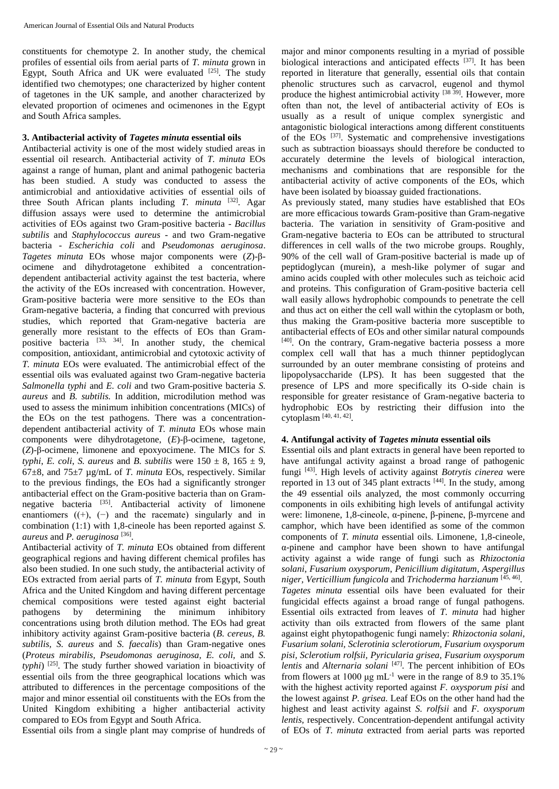constituents for chemotype 2. In another study, the chemical profiles of essential oils from aerial parts of *T. minuta* grown in Egypt, South Africa and UK were evaluated  $[25]$ . The study identified two chemotypes; one characterized by higher content of tagetones in the UK sample, and another characterized by elevated proportion of ocimenes and ocimenones in the Egypt and South Africa samples.

# **3. Antibacterial activity of** *Tagetes minuta* **essential oils**

Antibacterial activity is one of the most widely studied areas in essential oil research. Antibacterial activity of *T. minuta* EOs against a range of human, plant and animal pathogenic bacteria has been studied. A study was conducted to assess the antimicrobial and antioxidative activities of essential oils of three South African plants including *T. minuta*  $[32]$ . Agar diffusion assays were used to determine the antimicrobial activities of EOs against two Gram-positive bacteria - *Bacillus subtilis* and *Staphylococcus aureus* - and two Gram-negative bacteria - *Escherichia coli* and *Pseudomonas aeruginosa*. *Tagetes minuta* EOs whose major components were (*Z*)-βocimene and dihydrotagetone exhibited a concentrationdependent antibacterial activity against the test bacteria, where the activity of the EOs increased with concentration. However, Gram-positive bacteria were more sensitive to the EOs than Gram-negative bacteria, a finding that concurred with previous studies, which reported that Gram-negative bacteria are generally more resistant to the effects of EOs than Grampositive bacteria [33, 34]. In another study, the chemical composition, antioxidant, antimicrobial and cytotoxic activity of *T. minuta* EOs were evaluated. The antimicrobial effect of the essential oils was evaluated against two Gram-negative bacteria *Salmonella typhi* and *E. coli* and two Gram-positive bacteria *S. aureus* and *B. subtilis.* In addition, microdilution method was used to assess the minimum inhibition concentrations (MICs) of the EOs on the test pathogens. There was a concentrationdependent antibacterial activity of *T. minuta* EOs whose main components were dihydrotagetone, (*E*)-β-ocimene, tagetone, (*Z*)-β-ocimene, limonene and epoxyocimene. The MICs for *S. typhi*, *E. coli*, *S. aureus* and *B. subtilis* were  $150 \pm 8$ ,  $165 \pm 9$ , 67±8, and 75±7 µg/mL of *T. minuta* EOs, respectively. Similar to the previous findings, the EOs had a significantly stronger antibacterial effect on the Gram-positive bacteria than on Gramnegative bacteria <sup>[35]</sup>. Antibacterial activity of limonene enantiomers  $((+), (-)$  and the racemate) singularly and in combination (1:1) with 1,8-cineole has been reported against *S. aureus* and *P. aeruginosa* [36] .

Antibacterial activity of *T. minuta* EOs obtained from different geographical regions and having different chemical profiles has also been studied. In one such study, the antibacterial activity of EOs extracted from aerial parts of *T. minuta* from Egypt, South Africa and the United Kingdom and having different percentage chemical compositions were tested against eight bacterial pathogens by determining the minimum inhibitory concentrations using broth dilution method. The EOs had great inhibitory activity against Gram-positive bacteria (*B. cereus, B. subtilis, S. aureus* and *S. faecalis*) than Gram-negative ones (*Proteus mirabilis, Pseudomonas aeruginosa, E. coli,* and *S.*  typhi)<sup>[25]</sup>. The study further showed variation in bioactivity of essential oils from the three geographical locations which was attributed to differences in the percentage compositions of the major and minor essential oil constituents with the EOs from the United Kingdom exhibiting a higher antibacterial activity compared to EOs from Egypt and South Africa.

Essential oils from a single plant may comprise of hundreds of

major and minor components resulting in a myriad of possible biological interactions and anticipated effects [37]. It has been reported in literature that generally, essential oils that contain phenolic structures such as carvacrol, eugenol and thymol produce the highest antimicrobial activity [38 39]. However, more often than not, the level of antibacterial activity of EOs is usually as a result of unique complex synergistic and antagonistic biological interactions among different constituents of the EOs <sup>[37]</sup>. Systematic and comprehensive investigations such as subtraction bioassays should therefore be conducted to accurately determine the levels of biological interaction, mechanisms and combinations that are responsible for the antibacterial activity of active components of the EOs, which have been isolated by bioassay guided fractionations.

As previously stated, many studies have established that EOs are more efficacious towards Gram-positive than Gram-negative bacteria. The variation in sensitivity of Gram-positive and Gram-negative bacteria to EOs can be attributed to structural differences in cell walls of the two microbe groups. Roughly, 90% of the cell wall of Gram-positive bacterial is made up of peptidoglycan (murein), a mesh-like polymer of sugar and amino acids coupled with other molecules such as teichoic acid and proteins. This configuration of Gram-positive bacteria cell wall easily allows hydrophobic compounds to penetrate the cell and thus act on either the cell wall within the cytoplasm or both, thus making the Gram-positive bacteria more susceptible to antibacterial effects of EOs and other similar natural compounds [40] . On the contrary, Gram-negative bacteria possess a more complex cell wall that has a much thinner peptidoglycan surrounded by an outer membrane consisting of proteins and lipopolysaccharide (LPS). It has been suggested that the presence of LPS and more specifically its O-side chain is responsible for greater resistance of Gram-negative bacteria to hydrophobic EOs by restricting their diffusion into the cytoplasm [40, 41, 42] .

# **4. Antifungal activity of** *Tagetes minuta* **essential oils**

Essential oils and plant extracts in general have been reported to have antifungal activity against a broad range of pathogenic fungi [43]. High levels of activity against *Botrytis cinerea* were reported in 13 out of 345 plant extracts  $[44]$ . In the study, among the 49 essential oils analyzed, the most commonly occurring components in oils exhibiting high levels of antifungal activity were: limonene, 1,8-cineole, α-pinene, β-pinene, β-myrcene and camphor, which have been identified as some of the common components of *T. minuta* essential oils. Limonene, 1,8-cineole, α-pinene and camphor have been shown to have antifungal activity against a wide range of fungi such as *Rhizoctonia solani*, *Fusarium oxysporum*, *Penicillium digitatum*, *Aspergillus niger, Verticillium fungicola* and *Trichoderma harzianum* [45, 46] . *Tagetes minuta* essential oils have been evaluated for their fungicidal effects against a broad range of fungal pathogens. Essential oils extracted from leaves of *T. minuta* had higher activity than oils extracted from flowers of the same plant against eight phytopathogenic fungi namely: *Rhizoctonia solani, Fusarium solani, Sclerotinia sclerotiorum, Fusarium oxysporum pisi, Sclerotium rolfsii, Pyricularia grisea, Fusarium oxysporum*  lentis and *Alternaria solani* [47]. The percent inhibition of EOs from flowers at 1000  $\mu$ g mL<sup>-1</sup> were in the range of 8.9 to 35.1% with the highest activity reported against *F. oxysporum pisi* and the lowest against *P. grisea.* Leaf EOs on the other hand had the highest and least activity against *S. rolfsii* and *F. oxysporum lentis,* respectively. Concentration-dependent antifungal activity of EOs of *T. minuta* extracted from aerial parts was reported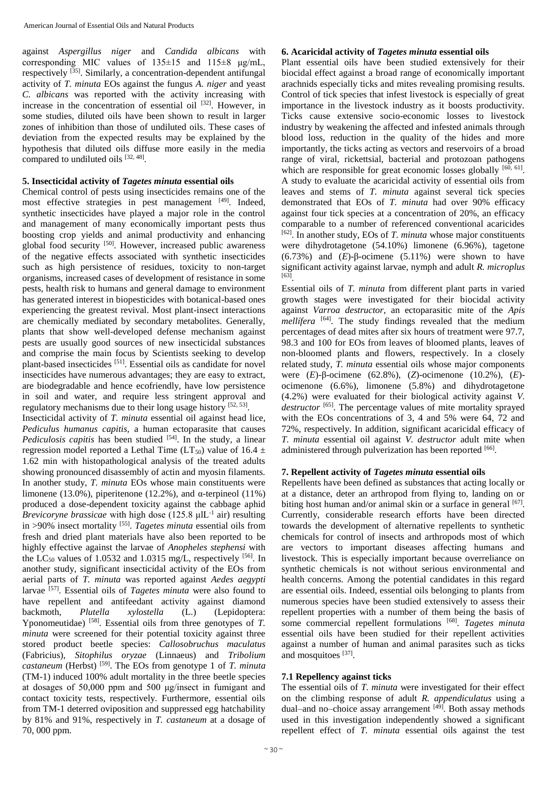against *Aspergillus niger* and *Candida albicans* with corresponding MIC values of  $135\pm15$  and  $115\pm8$  μg/mL, respectively <a>[35]</a>. Similarly, a concentration-dependent antifungal activity of *T. minuta* EOs against the fungus *A. niger* and yeast *C. albicans* was reported with the activity increasing with increase in the concentration of essential oil  $[32]$ . However, in some studies, diluted oils have been shown to result in larger zones of inhibition than those of undiluted oils. These cases of deviation from the expected results may be explained by the hypothesis that diluted oils diffuse more easily in the media compared to undiluted oils [32, 48].

### **5. Insecticidal activity of** *Tagetes minuta* **essential oils**

Chemical control of pests using insecticides remains one of the most effective strategies in pest management [49]. Indeed, synthetic insecticides have played a major role in the control and management of many economically important pests thus boosting crop yields and animal productivity and enhancing global food security [50]. However, increased public awareness of the negative effects associated with synthetic insecticides such as high persistence of residues, toxicity to non-target organisms, increased cases of development of resistance in some pests, health risk to humans and general damage to environment has generated interest in biopesticides with botanical-based ones experiencing the greatest revival. Most plant-insect interactions are chemically mediated by secondary metabolites. Generally, plants that show well-developed defense mechanism against pests are usually good sources of new insecticidal substances and comprise the main focus by Scientists seeking to develop plant-based insecticides [51]. Essential oils as candidate for novel insecticides have numerous advantages; they are easy to extract, are biodegradable and hence ecofriendly, have low persistence in soil and water, and require less stringent approval and regulatory mechanisms due to their long usage history [52, 53].

Insecticidal activity of *T. minuta* essential oil against head lice, *Pediculus humanus capitis,* a human ectoparasite that causes *Pediculosis capitis* has been studied <sup>[54]</sup>. In the study, a linear regression model reported a Lethal Time (LT<sub>50</sub>) value of 16.4  $\pm$ 1.62 min with histopathological analysis of the treated adults showing pronounced disassembly of actin and myosin filaments. In another study, *T. minuta* EOs whose main constituents were limonene (13.0%), piperitenone (12.2%), and  $\alpha$ -terpineol (11%) produced a dose-dependent toxicity against the cabbage aphid *Brevicoryne brassicae* with high dose (125.8 μIL<sup>-1</sup> air) resulting in >90% insect mortality [55] . *Tagetes minuta* essential oils from fresh and dried plant materials have also been reported to be highly effective against the larvae of *Anopheles stephensi* with the  $LC_{50}$  values of 1.0532 and 1.0315 mg/L, respectively <sup>[56]</sup>. In another study, significant insecticidal activity of the EOs from aerial parts of *T. minuta* was reported against *Aedes aegypti*  larvae [57]. Essential oils of *Tagetes minuta* were also found to have repellent and antifeedant activity against diamond backmoth, *Plutella xylostella* (L.) (Lepidoptera: Yponomeutidae) <sup>[58]</sup>. Essential oils from three genotypes of *T*. *minuta* were screened for their potential toxicity against three stored product beetle species: *Callosobruchus maculatus* (Fabricius), *Sitophilus oryzae* (Linnaeus) and *Tribolium castaneum* (Herbst) [59]. The EOs from genotype 1 of *T. minuta* (TM-1) induced 100% adult mortality in the three beetle species at dosages of 50,000 ppm and 500 μg/insect in fumigant and contact toxicity tests, respectively. Furthermore, essential oils from TM-1 deterred oviposition and suppressed egg hatchability by 81% and 91%, respectively in *T. castaneum* at a dosage of 70, 000 ppm.

#### **6. Acaricidal activity of** *Tagetes minuta* **essential oils**

Plant essential oils have been studied extensively for their biocidal effect against a broad range of economically important arachnids especially ticks and mites revealing promising results. Control of tick species that infest livestock is especially of great importance in the livestock industry as it boosts productivity. Ticks cause extensive socio-economic losses to livestock industry by weakening the affected and infested animals through blood loss, reduction in the quality of the hides and more importantly, the ticks acting as vectors and reservoirs of a broad range of viral, rickettsial, bacterial and protozoan pathogens which are responsible for great economic losses globally  $[60, 61]$ . A study to evaluate the acaricidal activity of essential oils from leaves and stems of *T. minuta* against several tick species demonstrated that EOs of *T. minuta* had over 90% efficacy against four tick species at a concentration of 20%, an efficacy comparable to a number of referenced conventional acaricides [62]. In another study, EOs of *T. minuta* whose major constituents were dihydrotagetone (54.10%) limonene (6.96%), tagetone (6.73%) and (*E*)-β-ocimene (5.11%) were shown to have significant activity against larvae, nymph and adult *R. microplus*  [63] .

Essential oils of *T. minuta* from different plant parts in varied growth stages were investigated for their biocidal activity against *Varroa destructor*, an ectoparasitic mite of the *Apis*  mellifera<sup>[64]</sup>. The study findings revealed that the medium percentages of dead mites after six hours of treatment were 97.7, 98.3 and 100 for EOs from leaves of bloomed plants, leaves of non-bloomed plants and flowers, respectively. In a closely related study, *T. minuta* essential oils whose major components were (*E*)-β-ocimene (62.8%), (*Z*)-ocimenone (10.2%), (*E*) ocimenone (6.6%), limonene (5.8%) and dihydrotagetone (4.2%) were evaluated for their biological activity against *V. destructor* [65]. The percentage values of mite mortality sprayed with the EOs concentrations of 3, 4 and 5% were 64, 72 and 72%, respectively. In addition, significant acaricidal efficacy of *T. minuta* essential oil against *V. destructor* adult mite when administered through pulverization has been reported [66].

#### **7. Repellent activity of** *Tagetes minuta* **essential oils**

Repellents have been defined as substances that acting locally or at a distance, deter an arthropod from flying to, landing on or biting host human and/or animal skin or a surface in general [67]. Currently, considerable research efforts have been directed towards the development of alternative repellents to synthetic chemicals for control of insects and arthropods most of which are vectors to important diseases affecting humans and livestock. This is especially important because overreliance on synthetic chemicals is not without serious environmental and health concerns. Among the potential candidates in this regard are essential oils. Indeed, essential oils belonging to plants from numerous species have been studied extensively to assess their repellent properties with a number of them being the basis of some commercial repellent formulations [68]. Tagetes minuta essential oils have been studied for their repellent activities against a number of human and animal parasites such as ticks and mosquitoes [37].

# **7.1 Repellency against ticks**

The essential oils of *T. minuta* were investigated for their effect on the climbing response of adult *R. appendiculatus* using a dual–and no–choice assay arrangement [49]. Both assay methods used in this investigation independently showed a significant repellent effect of *T. minuta* essential oils against the test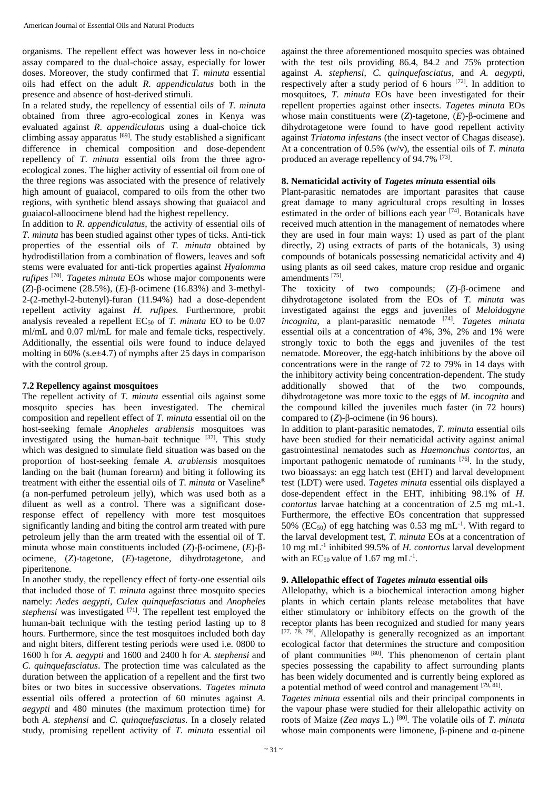organisms. The repellent effect was however less in no-choice assay compared to the dual-choice assay, especially for lower doses. Moreover, the study confirmed that *T. minuta* essential oils had effect on the adult *R. appendiculatus* both in the presence and absence of host-derived stimuli.

In a related study, the repellency of essential oils of *T*. *minuta*  obtained from three agro-ecological zones in Kenya was evaluated against *R*. *appendiculatus* using a dual-choice tick climbing assay apparatus [69]. The study established a significant difference in chemical composition and dose-dependent repellency of *T*. *minuta* essential oils from the three agroecological zones. The higher activity of essential oil from one of the three regions was associated with the presence of relatively high amount of guaiacol, compared to oils from the other two regions, with synthetic blend assays showing that guaiacol and guaiacol-alloocimene blend had the highest repellency.

In addition to *R. appendiculatus*, the activity of essential oils of *T. minuta* has been studied against other types of ticks. Anti-tick properties of the essential oils of *T. minuta* obtained by hydrodistillation from a combination of flowers, leaves and soft stems were evaluated for anti-tick properties against *Hyalomma rufipes* [70] . *Tagetes minuta* EOs whose major components were (*Z*)-β-ocimene (28.5%), (*E*)-β-ocimene (16.83%) and 3-methyl-2-(2-methyl-2-butenyl)-furan (11.94%) had a dose-dependent repellent activity against *H. rufipes.* Furthermore, probit analysis revealed a repellent  $EC_{50}$  of *T. minuta* EO to be 0.07 ml/mL and 0.07 ml/mL for male and female ticks, respectively. Additionally, the essential oils were found to induce delayed molting in 60% (s.e $\pm$ 4.7) of nymphs after 25 days in comparison with the control group.

#### **7.2 Repellency against mosquitoes**

The repellent activity of *T. minuta* essential oils against some mosquito species has been investigated. The chemical composition and repellent effect of *T. minuta* essential oil on the host-seeking female *Anopheles arabiensis* mosquitoes was investigated using the human-bait technique  $[37]$ . This study which was designed to simulate field situation was based on the proportion of host-seeking female *A. arabiensis* mosquitoes landing on the bait (human forearm) and biting it following its treatment with either the essential oils of *T. minuta* or Vaseline® (a non-perfumed petroleum jelly), which was used both as a diluent as well as a control. There was a significant doseresponse effect of repellency with more test mosquitoes significantly landing and biting the control arm treated with pure petroleum jelly than the arm treated with the essential oil of T. minuta whose main constituents included (*Z*)-β-ocimene, (*E*)-βocimene, (*Z*)-tagetone, (*E*)-tagetone, dihydrotagetone, and piperitenone.

In another study, the repellency effect of forty-one essential oils that included those of *T. minuta* against three mosquito species namely: *Aedes aegypti*, *Culex quinquefasciatus* and *Anopheles stephensi* was investigated <sup>[71]</sup>. The repellent test employed the human-bait technique with the testing period lasting up to 8 hours. Furthermore, since the test mosquitoes included both day and night biters, different testing periods were used i.e. 0800 to 1600 h for *A. aegypti* and 1600 and 2400 h for *A. stephensi* and *C. quinquefasciatus*. The protection time was calculated as the duration between the application of a repellent and the first two bites or two bites in successive observations. *Tagetes minuta* essential oils offered a protection of 60 minutes against *A. aegypti* and 480 minutes (the maximum protection time) for both *A. stephensi* and *C. quinquefasciatus*. In a closely related study, promising repellent activity of *T. minuta* essential oil

against the three aforementioned mosquito species was obtained with the test oils providing 86.4, 84.2 and 75% protection against *A. stephensi*, *C. quinquefasciatus*, and *A. aegypti,*  respectively after a study period of 6 hours [72]. In addition to mosquitoes, *T. minuta* EOs have been investigated for their repellent properties against other insects. *Tagetes minuta* EOs whose main constituents were (*Z*)-tagetone, (*E*)-β-ocimene and dihydrotagetone were found to have good repellent activity against *Triatoma infestans* (the insect vector of Chagas disease). At a concentration of 0.5% (w/v), the essential oils of *T. minuta* produced an average repellency of 94.7% [73].

## **8. Nematicidal activity of** *Tagetes minuta* **essential oils**

Plant-parasitic nematodes are important parasites that cause great damage to many agricultural crops resulting in losses estimated in the order of billions each year <sup>[74]</sup>. Botanicals have received much attention in the management of nematodes where they are used in four main ways: 1) used as part of the plant directly, 2) using extracts of parts of the botanicals, 3) using compounds of botanicals possessing nematicidal activity and 4) using plants as oil seed cakes, mature crop residue and organic amendments [75] .

The toxicity of two compounds; (*Z*)-β-ocimene and dihydrotagetone isolated from the EOs of *T. minuta* was investigated against the eggs and juveniles of *Meloidogyne incognita*, a plant-parasitic nematode [74] . *Tagetes minuta* essential oils at a concentration of 4%, 3%, 2% and 1% were strongly toxic to both the eggs and juveniles of the test nematode. Moreover, the egg-hatch inhibitions by the above oil concentrations were in the range of 72 to 79% in 14 days with the inhibitory activity being concentration-dependent. The study additionally showed that of the two compounds, dihydrotagetone was more toxic to the eggs of *M. incognita* and the compound killed the juveniles much faster (in 72 hours) compared to (*Z*)-β-ocimene (in 96 hours).

In addition to plant-parasitic nematodes, *T. minuta* essential oils have been studied for their nematicidal activity against animal gastrointestinal nematodes such as *Haemonchus contortus*, an important pathogenic nematode of ruminants [76]. In the study, two bioassays: an egg hatch test (EHT) and larval development test (LDT) were used. *Tagetes minuta* essential oils displayed a dose-dependent effect in the EHT, inhibiting 98.1% of *H. contortus* larvae hatching at a concentration of 2.5 mg mL-1. Furthermore, the effective EOs concentration that suppressed 50% ( $EC_{50}$ ) of egg hatching was 0.53 mg mL<sup>-1</sup>. With regard to the larval development test, *T. minuta* EOs at a concentration of 10 mg mL-1 inhibited 99.5% of *H. contortus* larval development with an  $EC_{50}$  value of 1.67 mg mL<sup>-1</sup>.

#### **9. Allelopathic effect of** *Tagetes minuta* **essential oils**

Allelopathy, which is a biochemical interaction among higher plants in which certain plants release metabolites that have either stimulatory or inhibitory effects on the growth of the receptor plants has been recognized and studied for many years [77, 78, 79]. Allelopathy is generally recognized as an important ecological factor that determines the structure and composition of plant communities [80]. This phenomenon of certain plant species possessing the capability to affect surrounding plants has been widely documented and is currently being explored as a potential method of weed control and management [79, 81].

*Tagetes minuta* essential oils and their principal components in the vapour phase were studied for their allelopathic activity on roots of Maize (*Zea mays* L.) [80]. The volatile oils of *T. minuta*  whose main components were limonene, β-pinene and  $α$ -pinene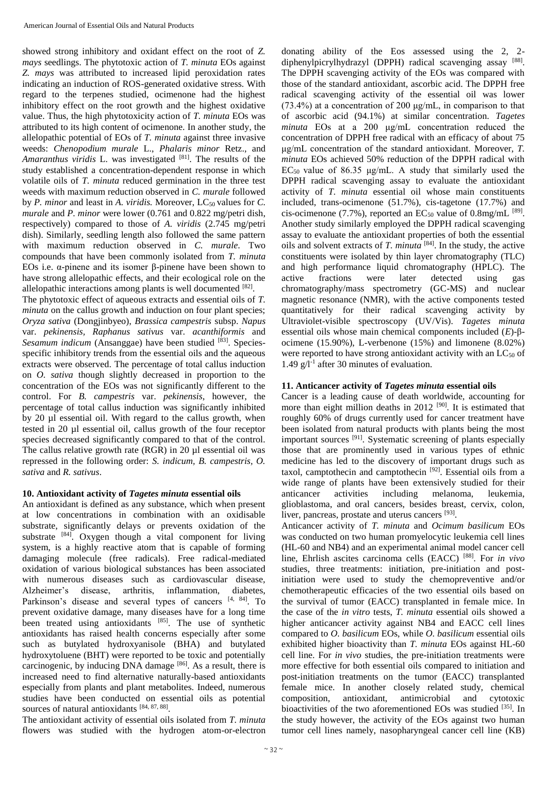showed strong inhibitory and oxidant effect on the root of *Z. mays* seedlings. The phytotoxic action of *T. minuta* EOs against *Z. mays* was attributed to increased lipid peroxidation rates indicating an induction of ROS-generated oxidative stress. With regard to the terpenes studied, ocimenone had the highest inhibitory effect on the root growth and the highest oxidative value. Thus, the high phytotoxicity action of *T. minuta* EOs was attributed to its high content of ocimenone. In another study, the allelopathic potential of EOs of *T. minuta* against three invasive weeds: *Chenopodium murale* L., *Phalaris minor* Retz., and *Amaranthus viridis* L. was investigated [81]. The results of the study established a concentration-dependent response in which volatile oils of *T. minuta* reduced germination in the three test weeds with maximum reduction observed in *C. murale* followed by *P. minor* and least in *A. viridis.* Moreover, LC<sub>50</sub> values for *C. murale* and *P. minor* were lower (0.761 and 0.822 mg/petri dish, respectively) compared to those of *A. viridis* (2.745 mg/petri dish). Similarly, seedling length also followed the same pattern with maximum reduction observed in *C. murale*. Two compounds that have been commonly isolated from *T. minuta* EOs i.e. α-pinene and its isomer β-pinene have been shown to have strong allelopathic effects, and their ecological role on the allelopathic interactions among plants is well documented  $[82]$ .

The phytotoxic effect of aqueous extracts and essential oils of *T. minuta* on the callus growth and induction on four plant species; *Oryza sativa* (Dongjinbyeo), *Brassica campestris* subsp. *Napus*  var. *pekinensis, Raphanus sativus* var. *acanthiformis* and *Sesamum indicum* (Ansanggae) have been studied [83]. Speciesspecific inhibitory trends from the essential oils and the aqueous extracts were observed. The percentage of total callus induction on *O. sativa* though slightly decreased in proportion to the concentration of the EOs was not significantly different to the control. For *B. campestris* var. *pekinensis*, however, the percentage of total callus induction was significantly inhibited by 20 µl essential oil. With regard to the callus growth, when tested in 20 µl essential oil, callus growth of the four receptor species decreased significantly compared to that of the control. The callus relative growth rate (RGR) in 20 µl essential oil was repressed in the following order: *S. indicum, B. campestris, O. sativa* and *R. sativus*.

# **10. Antioxidant activity of** *Tagetes minuta* **essential oils**

An antioxidant is defined as any substance, which when present at low concentrations in combination with an oxidisable substrate, significantly delays or prevents oxidation of the substrate [84]. Oxygen though a vital component for living system, is a highly reactive atom that is capable of forming damaging molecule (free radicals). Free radical-mediated oxidation of various biological substances has been associated with numerous diseases such as cardiovascular disease, Alzheimer's disease, arthritis, inflammation, diabetes, Parkinson's disease and several types of cancers [4, 84]. To prevent oxidative damage, many diseases have for a long time been treated using antioxidants [85]. The use of synthetic antioxidants has raised health concerns especially after some such as butylated hydroxyanisole (BHA) and butylated hydroxytoluene (BHT) were reported to be toxic and potentially carcinogenic, by inducing DNA damage  $[86]$ . As a result, there is increased need to find alternative naturally-based antioxidants especially from plants and plant metabolites. Indeed, numerous studies have been conducted on essential oils as potential sources of natural antioxidants [84, 87, 88].

The antioxidant activity of essential oils isolated from *T. minuta* flowers was studied with the hydrogen atom-or-electron donating ability of the Eos assessed using the 2, 2 diphenylpicrylhydrazyl (DPPH) radical scavenging assay [88]. The DPPH scavenging activity of the EOs was compared with those of the standard antioxidant, ascorbic acid. The DPPH free radical scavenging activity of the essential oil was lower (73.4%) at a concentration of 200 μg/mL, in comparison to that of ascorbic acid (94.1%) at similar concentration. *Tagetes minuta* EOs at a 200 μg/mL concentration reduced the concentration of DPPH free radical with an efficacy of about 75 μg/mL concentration of the standard antioxidant. Moreover, *T. minuta* EOs achieved 50% reduction of the DPPH radical with  $EC_{50}$  value of 86.35 μg/mL. A study that similarly used the DPPH radical scavenging assay to evaluate the antioxidant activity of *T. minuta* essential oil whose main constituents included, trans-ocimenone (51.7%), cis-tagetone (17.7%) and cis-ocimenone (7.7%), reported an  $EC_{50}$  value of 0.8mg/mL  $^{[89]}$ . Another study similarly employed the DPPH radical scavenging assay to evaluate the antioxidant properties of both the essential oils and solvent extracts of *T. minuta* [84]. In the study, the active constituents were isolated by thin layer chromatography (TLC) and high performance liquid chromatography (HPLC). The active fractions were later detected using gas chromatography/mass spectrometry (GC-MS) and nuclear magnetic resonance (NMR), with the active components tested quantitatively for their radical scavenging activity by Ultraviolet-visible spectroscopy (UV/Vis). *Tagetes minuta* essential oils whose main chemical components included (*E*)-βocimene (15.90%), L-verbenone (15%) and limonene (8.02%) were reported to have strong antioxidant activity with an  $LC_{50}$  of 1.49 g/l-1 after 30 minutes of evaluation.

# **11. Anticancer activity of** *Tagetes minuta* **essential oils**

Cancer is a leading cause of death worldwide, accounting for more than eight million deaths in 2012 <sup>[90]</sup>. It is estimated that roughly 60% of drugs currently used for cancer treatment have been isolated from natural products with plants being the most important sources [91]. Systematic screening of plants especially those that are prominently used in various types of ethnic medicine has led to the discovery of important drugs such as taxol, camptothecin and camptothecin [92]. Essential oils from a wide range of plants have been extensively studied for their anticancer activities including melanoma, leukemia, glioblastoma, and oral cancers, besides breast, cervix, colon, liver, pancreas, prostate and uterus cancers <sup>[93]</sup>.

Anticancer activity of *T. minuta* and *Ocimum basilicum* EOs was conducted on two human promyelocytic leukemia cell lines (HL-60 and NB4) and an experimental animal model cancer cell line, Ehrlish ascites carcinoma cells (EACC) [88] . For *in vivo* studies, three treatments: initiation, pre-initiation and postinitiation were used to study the chemopreventive and/or chemotherapeutic efficacies of the two essential oils based on the survival of tumor (EACC) transplanted in female mice. In the case of the *in vitro* tests, *T. minuta* essential oils showed a higher anticancer activity against NB4 and EACC cell lines compared to *O. basilicum* EOs, while *O. basilicum* essential oils exhibited higher bioactivity than *T. minuta* EOs against HL-60 cell line. For *in vivo* studies, the pre-initiation treatments were more effective for both essential oils compared to initiation and post-initiation treatments on the tumor (EACC) transplanted female mice. In another closely related study, chemical composition, antioxidant, antimicrobial and cytotoxic bioactivities of the two aforementioned EOs was studied [35]. In the study however, the activity of the EOs against two human tumor cell lines namely, nasopharyngeal cancer cell line (KB)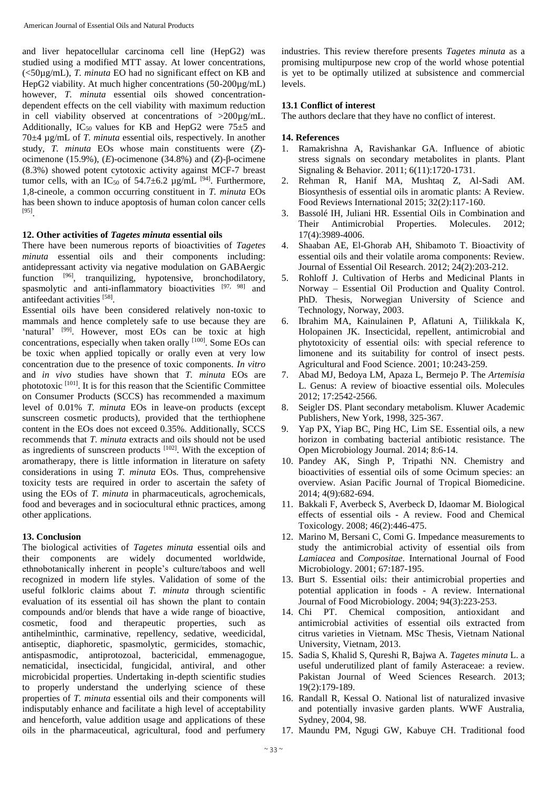and liver hepatocellular carcinoma cell line (HepG2) was studied using a modified MTT assay. At lower concentrations, (<50µg/mL), *T. minuta* EO had no significant effect on KB and HepG2 viability. At much higher concentrations (50-200µg/mL) however, *T. minuta* essential oils showed concentrationdependent effects on the cell viability with maximum reduction in cell viability observed at concentrations of >200µg/mL. Additionally, IC<sub>50</sub> values for KB and HepG2 were  $75\pm5$  and 70±4 µg/mL of *T. minuta* essential oils, respectively. In another study, *T. minuta* EOs whose main constituents were (*Z*) ocimenone (15.9%), (*E*)-ocimenone (34.8%) and (*Z*)-β-ocimene (8.3%) showed potent cytotoxic activity against MCF-7 breast tumor cells, with an IC<sub>50</sub> of 54.7 $\pm$ 6.2 µg/mL <sup>[94]</sup>. Furthermore, 1,8-cineole, a common occurring constituent in *T. minuta* EOs has been shown to induce apoptosis of human colon cancer cells [95] .

# **12. Other activities of** *Tagetes minuta* **essential oils**

There have been numerous reports of bioactivities of *Tagetes minuta* essential oils and their components including: antidepressant activity via negative modulation on GABAergic function [96], tranquilizing, hypotensive, bronchodilatory, spasmolytic and anti-inflammatory bioactivities [97, 98] and antifeedant activities [58].

Essential oils have been considered relatively non-toxic to mammals and hence completely safe to use because they are 'natural' <sup>[99]</sup>. However, most EOs can be toxic at high concentrations, especially when taken orally [100]. Some EOs can be toxic when applied topically or orally even at very low concentration due to the presence of toxic components. *In vitro*  and *in vivo* studies have shown that *T. minuta* EOs are phototoxic [101]. It is for this reason that the Scientific Committee on Consumer Products (SCCS) has recommended a maximum level of 0.01% *T. minuta* EOs in leave-on products (except sunscreen cosmetic products), provided that the terthiophene content in the EOs does not exceed 0.35%. Additionally, SCCS recommends that *T. minuta* extracts and oils should not be used as ingredients of sunscreen products  $[102]$ . With the exception of aromatherapy, there is little information in literature on safety considerations in using *T. minuta* EOs. Thus, comprehensive toxicity tests are required in order to ascertain the safety of using the EOs of *T. minuta* in pharmaceuticals, agrochemicals, food and beverages and in sociocultural ethnic practices, among other applications.

# **13. Conclusion**

The biological activities of *Tagetes minuta* essential oils and their components are widely documented worldwide, ethnobotanically inherent in people's culture/taboos and well recognized in modern life styles. Validation of some of the useful folkloric claims about *T. minuta* through scientific evaluation of its essential oil has shown the plant to contain compounds and/or blends that have a wide range of bioactive, cosmetic, food and therapeutic properties, such as antihelminthic, carminative, repellency, sedative, weedicidal, antiseptic, diaphoretic, spasmolytic, germicides, stomachic, antispasmodic, antiprotozoal, bactericidal, emmenagogue, nematicidal, insecticidal, fungicidal, antiviral, and other microbicidal properties. Undertaking in-depth scientific studies to properly understand the underlying science of these properties of *T. minuta* essential oils and their components will indisputably enhance and facilitate a high level of acceptability and henceforth, value addition usage and applications of these oils in the pharmaceutical, agricultural, food and perfumery

industries. This review therefore presents *Tagetes minuta* as a promising multipurpose new crop of the world whose potential is yet to be optimally utilized at subsistence and commercial levels.

# **13.1 Conflict of interest**

The authors declare that they have no conflict of interest.

# **14. References**

- 1. Ramakrishna A, Ravishankar GA. Influence of abiotic stress signals on secondary metabolites in plants. Plant Signaling & Behavior. 2011; 6(11):1720-1731.
- 2. Rehman R, Hanif MA, Mushtaq Z, Al-Sadi AM. Biosynthesis of essential oils in aromatic plants: A Review. Food Reviews International 2015; 32(2):117-160.
- 3. Bassolé IH, Juliani HR. Essential Oils in Combination and Their Antimicrobial Properties. Molecules. 2012; 17(4):3989-4006.
- 4. Shaaban AE, El-Ghorab AH, Shibamoto T. Bioactivity of essential oils and their volatile aroma components: Review. Journal of Essential Oil Research. 2012; 24(2):203-212.
- 5. Rohloff J. Cultivation of Herbs and Medicinal Plants in Norway – Essential Oil Production and Quality Control. PhD. Thesis, Norwegian University of Science and Technology, Norway, 2003.
- 6. Ibrahim MA, Kainulainen P, Aflatuni A, Tiilikkala K, Holopainen JK. Insecticidal, repellent, antimicrobial and phytotoxicity of essential oils: with special reference to limonene and its suitability for control of insect pests. Agricultural and Food Science. 2001; 10:243-259.
- 7. Abad MJ, Bedoya LM, Apaza L, Bermejo P. The *Artemisia* L. Genus: A review of bioactive essential oils. Molecules 2012; 17:2542-2566.
- 8. Seigler DS. Plant secondary metabolism. Kluwer Academic Publishers, New York, 1998, 325-367.
- 9. Yap PX, Yiap BC, Ping HC, Lim SE. Essential oils, a new horizon in combating bacterial antibiotic resistance. The Open Microbiology Journal. 2014; 8:6-14.
- 10. Pandey AK, Singh P, Tripathi NN. Chemistry and bioactivities of essential oils of some Ocimum species: an overview. Asian Pacific Journal of Tropical Biomedicine. 2014; 4(9):682-694.
- 11. Bakkali F, Averbeck S, Averbeck D, Idaomar M. Biological effects of essential oils - A review. Food and Chemical Toxicology. 2008; 46(2):446-475.
- 12. Marino M, Bersani C, Comi G. Impedance measurements to study the antimicrobial activity of essential oils from *Lamiacea* and *Compositae*. International Journal of Food Microbiology. 2001; 67:187-195.
- 13. Burt S. Essential oils: their antimicrobial properties and potential application in foods - A review. International Journal of Food Microbiology. 2004; 94(3):223-253.
- 14. Chi PT. Chemical composition, antioxidant and antimicrobial activities of essential oils extracted from citrus varieties in Vietnam. MSc Thesis, Vietnam National University, Vietnam, 2013.
- 15. Sadia S, Khalid S, Qureshi R, Bajwa A. *Tagetes minuta* L. a useful underutilized plant of family Asteraceae: a review. Pakistan Journal of Weed Sciences Research. 2013; 19(2):179-189.
- 16. Randall R, Kessal O. National list of naturalized invasive and potentially invasive garden plants. WWF Australia, Sydney, 2004, 98.
- 17. Maundu PM, Ngugi GW, Kabuye CH. Traditional food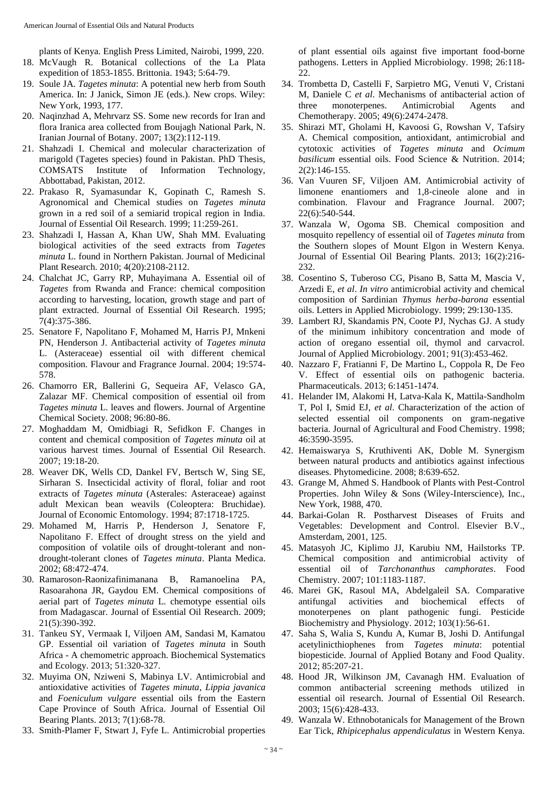plants of Kenya. English Press Limited, Nairobi, 1999, 220. 18. McVaugh R. Botanical collections of the La Plata expedition of 1853-1855. Brittonia. 1943; 5:64-79.

- 19. Soule JA. *Tagetes minuta*: A potential new herb from South America. In: J Janick, Simon JE (eds.). New crops. Wiley: New York, 1993, 177.
- 20. Naqinzhad A, Mehrvarz SS. Some new records for Iran and flora Iranica area collected from Boujagh National Park, N. Iranian Journal of Botany. 2007; 13(2):112-119.
- 21. Shahzadi I. Chemical and molecular characterization of marigold (Tagetes species) found in Pakistan. PhD Thesis, COMSATS Institute of Information Technology, Abbottabad, Pakistan, 2012.
- 22. Prakaso R, Syamasundar K, Gopinath C, Ramesh S. Agronomical and Chemical studies on *Tagetes minuta*  grown in a red soil of a semiarid tropical region in India. Journal of Essential Oil Research. 1999; 11:259-261.
- 23. Shahzadi I, Hassan A, Khan UW, Shah MM. Evaluating biological activities of the seed extracts from *Tagetes minuta* L. found in Northern Pakistan. Journal of Medicinal Plant Research. 2010; 4(20):2108-2112.
- 24. Chalchat JC, Garry RP, Muhayimana A. Essential oil of *Tagetes* from Rwanda and France: chemical composition according to harvesting, location, growth stage and part of plant extracted. Journal of Essential Oil Research. 1995; 7(4):375-386.
- 25. Senatore F, Napolitano F, Mohamed M, Harris PJ, Mnkeni PN, Henderson J. Antibacterial activity of *Tagetes minuta* L. (Asteraceae) essential oil with different chemical composition. Flavour and Fragrance Journal. 2004; 19:574- 578.
- 26. Chamorro ER, Ballerini G, Sequeira AF, Velasco GA, Zalazar MF. Chemical composition of essential oil from *Tagetes minuta* L. leaves and flowers. Journal of Argentine Chemical Society. 2008; 96:80-86.
- 27. Moghaddam M, Omidbiagi R, Sefidkon F. Changes in content and chemical composition of *Tagetes minuta* oil at various harvest times. Journal of Essential Oil Research. 2007; 19:18-20.
- 28. Weaver DK, Wells CD, Dankel FV, Bertsch W, Sing SE, Sirharan S. Insecticidal activity of floral, foliar and root extracts of *Tagetes minuta* (Asterales: Asteraceae) against adult Mexican bean weavils (Coleoptera: Bruchidae). Journal of Economic Entomology. 1994; 87:1718-1725.
- 29. Mohamed M, Harris P, Henderson J, Senatore F, Napolitano F. Effect of drought stress on the yield and composition of volatile oils of drought-tolerant and nondrought-tolerant clones of *Tagetes minuta*. Planta Medica. 2002; 68:472-474.
- 30. Ramaroson-Raonizafinimanana B, Ramanoelina PA, Rasoarahona JR, Gaydou EM. Chemical compositions of aerial part of *Tagetes minuta* L. chemotype essential oils from Madagascar. Journal of Essential Oil Research. 2009; 21(5):390-392.
- 31. Tankeu SY, Vermaak I, Viljoen AM, Sandasi M, Kamatou GP. Essential oil variation of *Tagetes minuta* in South Africa - A chemometric approach. Biochemical Systematics and Ecology. 2013; 51:320-327.
- 32. Muyima ON, Nziweni S, Mabinya LV. Antimicrobial and antioxidative activities of *Tagetes minuta*, *Lippia javanica* and *Foeniculum vulgare* essential oils from the Eastern Cape Province of South Africa. Journal of Essential Oil Bearing Plants. 2013; 7(1):68-78.
- 33. Smith-Plamer F, Stwart J, Fyfe L. Antimicrobial properties

of plant essential oils against five important food-borne pathogens. Letters in Applied Microbiology. 1998; 26:118- 22.

- 34. Trombetta D, Castelli F, Sarpietro MG, Venuti V, Cristani M, Daniele C *et al*. Mechanisms of antibacterial action of three monoterpenes. Antimicrobial Agents and Chemotherapy. 2005; 49(6):2474-2478.
- 35. Shirazi MT, Gholami H, Kavoosi G, Rowshan V, Tafsiry A. Chemical composition, antioxidant, antimicrobial and cytotoxic activities of *Tagetes minuta* and *Ocimum basilicum* essential oils. Food Science & Nutrition. 2014; 2(2):146-155.
- 36. Van Vuuren SF, Viljoen AM. Antimicrobial activity of limonene enantiomers and 1,8‐cineole alone and in combination. Flavour and Fragrance Journal. 2007; 22(6):540-544.
- 37. Wanzala W, Ogoma SB. Chemical composition and mosquito repellency of essential oil of *Tagetes minuta* from the Southern slopes of Mount Elgon in Western Kenya. Journal of Essential Oil Bearing Plants. 2013; 16(2):216- 232.
- 38. Cosentino S, Tuberoso CG, Pisano B, Satta M, Mascia V, Arzedi E, *et al*. *In vitro* antimicrobial activity and chemical composition of Sardinian *Thymus herba-barona* essential oils. Letters in Applied Microbiology. 1999; 29:130-135.
- 39. Lambert RJ, Skandamis PN, Coote PJ, Nychas GJ. A study of the minimum inhibitory concentration and mode of action of oregano essential oil, thymol and carvacrol. Journal of Applied Microbiology. 2001; 91(3):453-462.
- 40. Nazzaro F, Fratianni F, De Martino L, Coppola R, De Feo V. Effect of essential oils on pathogenic bacteria. Pharmaceuticals. 2013; 6:1451-1474.
- 41. Helander IM, Alakomi H, Latva-Kala K, Mattila-Sandholm T, Pol I, Smid EJ, *et al*. Characterization of the action of selected essential oil components on gram-negative bacteria. Journal of Agricultural and Food Chemistry. 1998; 46:3590-3595.
- 42. Hemaiswarya S, Kruthiventi AK, Doble M. Synergism between natural products and antibiotics against infectious diseases. Phytomedicine. 2008; 8:639-652.
- 43. Grange M, Ahmed S. Handbook of Plants with Pest-Control Properties. John Wiley & Sons (Wiley-Interscience), Inc., New York, 1988, 470.
- 44. Barkai-Golan R. Postharvest Diseases of Fruits and Vegetables: Development and Control. Elsevier B.V., Amsterdam, 2001, 125.
- 45. Matasyoh JC, Kiplimo JJ, Karubiu NM, Hailstorks TP. Chemical composition and antimicrobial activity of essential oil of *Tarchonanthus camphorates*. Food Chemistry. 2007; 101:1183-1187.
- 46. Marei GK, Rasoul MA, Abdelgaleil SA. Comparative antifungal activities and biochemical effects of monoterpenes on plant pathogenic fungi. Pesticide Biochemistry and Physiology. 2012; 103(1):56-61.
- 47. Saha S, Walia S, Kundu A, Kumar B, Joshi D. Antifungal acetylinicthiophenes from *Tagetes minuta*: potential biopesticide. Journal of Applied Botany and Food Quality. 2012; 85:207-21.
- 48. Hood JR, Wilkinson JM, Cavanagh HM. Evaluation of common antibacterial screening methods utilized in essential oil research. Journal of Essential Oil Research. 2003; 15(6):428-433.
- 49. Wanzala W. Ethnobotanicals for Management of the Brown Ear Tick, *Rhipicephalus appendiculatus* in Western Kenya.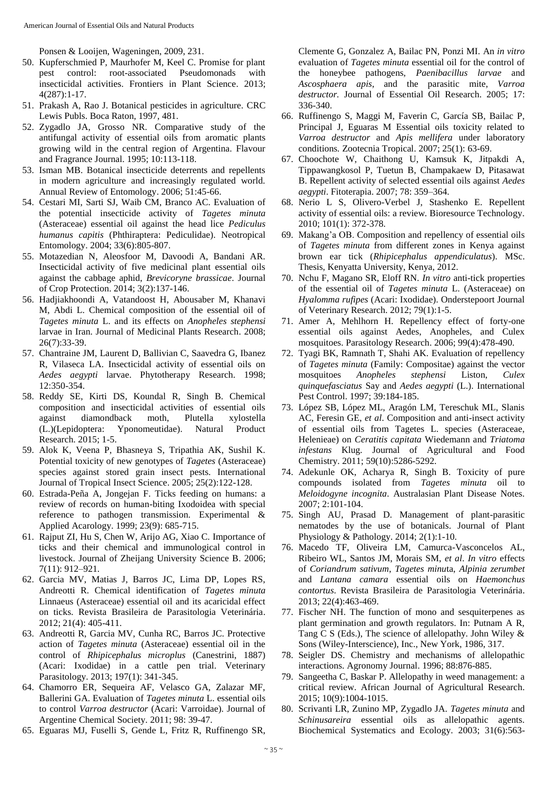Ponsen & Looijen, Wageningen, 2009, 231.

- 50. Kupferschmied P, Maurhofer M, Keel C. Promise for plant pest control: root-associated Pseudomonads with insecticidal activities. Frontiers in Plant Science. 2013; 4(287):1-17.
- 51. Prakash A, Rao J. Botanical pesticides in agriculture. CRC Lewis Publs. Boca Raton, 1997, 481.
- 52. Zygadlo JA, Grosso NR. Comparative study of the antifungal activity of essential oils from aromatic plants growing wild in the central region of Argentina. Flavour and Fragrance Journal. 1995; 10:113-118.
- 53. Isman MB. Botanical insecticide deterrents and repellents in modern agriculture and increasingly regulated world. Annual Review of Entomology. 2006; 51:45-66.
- 54. Cestari MI, Sarti SJ, Waib CM, Branco AC. Evaluation of the potential insecticide activity of *Tagetes minuta* (Asteraceae) essential oil against the head lice *Pediculus humanus capitis* (Phthiraptera: Pediculidae). Neotropical Entomology. 2004; 33(6):805-807.
- 55. Motazedian N, Aleosfoor M, Davoodi A, Bandani AR. Insecticidal activity of five medicinal plant essential oils against the cabbage aphid, *Brevicoryne brassicae*. Journal of Crop Protection. 2014; 3(2):137-146.
- 56. Hadjiakhoondi A, Vatandoost H, Abousaber M, Khanavi M, Abdi L. Chemical composition of the essential oil of *Tagetes minuta* L. and its effects on *Anopheles stephensi* larvae in Iran. Journal of Medicinal Plants Research. 2008; 26(7):33-39.
- 57. Chantraine JM, Laurent D, Ballivian C, Saavedra G, Ibanez R, Vilaseca LA. Insecticidal activity of essential oils on *Aedes aegypti* larvae. Phytotherapy Research. 1998; 12:350-354.
- 58. Reddy SE, Kirti DS, Koundal R, Singh B. Chemical composition and insecticidal activities of essential oils against diamondback moth, Plutella xylostella (L.)(Lepidoptera: Yponomeutidae). Natural Product Research. 2015; 1-5.
- 59. Alok K, Veena P, Bhasneya S, Tripathia AK, Sushil K. Potential toxicity of new genotypes of *Tagetes* (Asteraceae) species against stored grain insect pests. International Journal of Tropical Insect Science. 2005; 25(2):122-128.
- 60. Estrada-Peña A, Jongejan F. Ticks feeding on humans: a review of records on human-biting Ixodoidea with special reference to pathogen transmission. Experimental & Applied Acarology. 1999; 23(9): 685-715.
- 61. Rajput ZI, Hu S, Chen W, Arijo AG, Xiao C. Importance of ticks and their chemical and immunological control in livestock. Journal of Zheijang University Science B. 2006; 7(11): 912–921.
- 62. Garcia MV, Matias J, Barros JC, Lima DP, Lopes RS, Andreotti R. Chemical identification of *Tagetes minuta* Linnaeus (Asteraceae) essential oil and its acaricidal effect on ticks. Revista Brasileira de Parasitologia Veterinária. 2012; 21(4): 405-411.
- 63. Andreotti R, Garcia MV, Cunha RC, Barros JC. Protective action of *Tagetes minuta* (Asteraceae) essential oil in the control of *Rhipicephalus microplus* (Canestrini, 1887) (Acari: Ixodidae) in a cattle pen trial. Veterinary Parasitology. 2013; 197(1): 341-345.
- 64. Chamorro ER, Sequeira AF, Velasco GA, Zalazar MF, Ballerini GA. Evaluation of *Tagetes minuta* L. essential oils to control *Varroa destructor* (Acari: Varroidae). Journal of Argentine Chemical Society. 2011; 98: 39-47.
- 65. Eguaras MJ, Fuselli S, Gende L, Fritz R, Ruffinengo SR,

Clemente G, Gonzalez A, Bailac PN, Ponzi MI. An *in vitro*  evaluation of *Tagetes minuta* essential oil for the control of the honeybee pathogens, *Paenibacillus larvae* and *Ascosphaera apis*, and the parasitic mite, *Varroa destructor.* Journal of Essential Oil Research. 2005; 17: 336-340.

- 66. Ruffinengo S, Maggi M, Faverin C, García SB, Bailac P, Principal J, Eguaras M Essential oils toxicity related to *Varroa destructor* and *Apis mellifera* under laboratory conditions*.* Zootecnia Tropical. 2007; 25(1): 63-69.
- 67. Choochote W, Chaithong U, Kamsuk K, Jitpakdi A, Tippawangkosol P, Tuetun B, Champakaew D, Pitasawat B. Repellent activity of selected essential oils against *Aedes aegypti*. Fitoterapia. 2007; 78: 359–364.
- 68. Nerio L S, Olivero-Verbel J, Stashenko E. Repellent activity of essential oils: a review. Bioresource Technology. 2010; 101(1): 372-378.
- 69. Makang'a OB. Composition and repellency of essential oils of *Tagetes minuta* from different zones in Kenya against brown ear tick (*Rhipicephalus appendiculatus*). MSc. Thesis, Kenyatta University, Kenya, 2012.
- 70. Nchu F, Magano SR, Eloff RN. *In vitro* anti-tick properties of the essential oil of *Tagetes minuta* L. (Asteraceae) on *Hyalomma rufipes* (Acari: Ixodidae). Onderstepoort Journal of Veterinary Research. 2012; 79(1):1-5.
- 71. Amer A, Mehlhorn H. Repellency effect of forty-one essential oils against Aedes, Anopheles, and Culex mosquitoes. Parasitology Research. 2006; 99(4):478-490.
- 72. Tyagi BK, Ramnath T, Shahi AK. Evaluation of repellency of *Tagetes minuta* (Family: Compositae) against the vector mosquitoes *Anopheles stephensi* Liston, *Culex quinquefasciatus* Say and *Aedes aegypti* (L.). International Pest Control. 1997; 39:184-185.
- 73. López SB, López ML, Aragón LM, Tereschuk ML, Slanis AC, Feresin GE, *et al*. Composition and anti-insect activity of essential oils from Tagetes L. species (Asteraceae, Helenieae) on *Ceratitis capitata* Wiedemann and *Triatoma infestans* Klug. Journal of Agricultural and Food Chemistry. 2011; 59(10):5286-5292.
- 74. Adekunle OK, Acharya R, Singh B. Toxicity of pure compounds isolated from *Tagetes minuta* oil to *Meloidogyne incognita*. Australasian Plant Disease Notes. 2007; 2:101-104.
- 75. Singh AU, Prasad D. Management of plant-parasitic nematodes by the use of botanicals. Journal of Plant Physiology & Pathology. 2014; 2(1):1-10.
- 76. Macedo TF, Oliveira LM, Camurca-Vasconcelos AL, Ribeiro WL, Santos JM, Morais SM, *et al*. *In vitro* effects of *Coriandrum sativum*, *Tagetes minu*ta, *Alpinia zerumbet* and *Lantana camara* essential oils on *Haemonchus contortus*. Revista Brasileira de Parasitologia Veterinária. 2013; 22(4):463-469.
- 77. Fischer NH. The function of mono and sesquiterpenes as plant germination and growth regulators. In: Putnam A R, Tang C S (Eds.), The science of allelopathy. John Wiley & Sons (Wiley-Interscience), Inc., New York, 1986, 317.
- 78. Seigler DS. Chemistry and mechanisms of allelopathic interactions. Agronomy Journal. 1996; 88:876-885.
- 79. Sangeetha C, Baskar P. Allelopathy in weed management: a critical review. African Journal of Agricultural Research. 2015; 10(9):1004-1015.
- 80. Scrivanti LR, Zunino MP, Zygadlo JA. *Tagetes minuta* and *Schinusareira* essential oils as allelopathic agents. Biochemical Systematics and Ecology. 2003; 31(6):563-